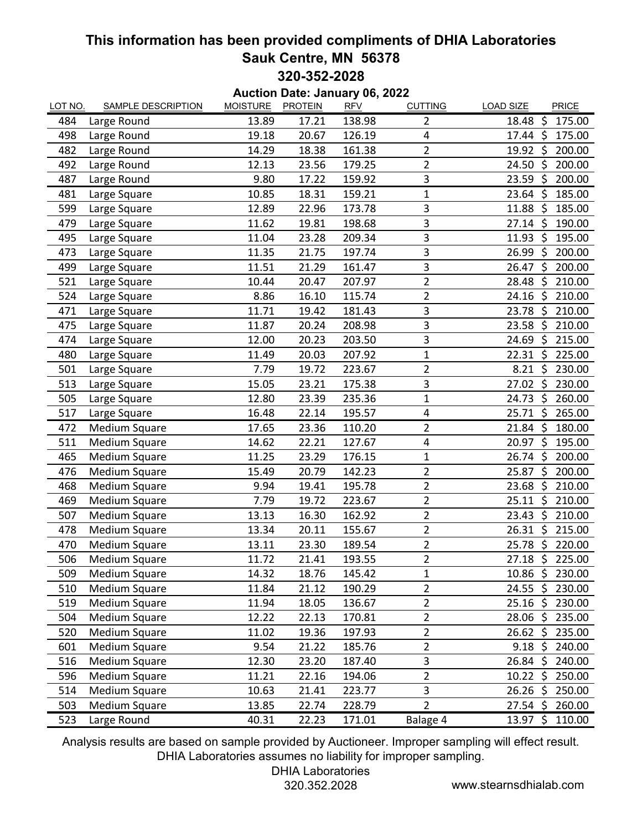## **This information has been provided compliments of DHIA Laboratories Sauk Centre, MN 56378 320-352-2028**

| <b>Auction Date: January 06, 2022</b> |                           |                 |                |            |                         |                                       |  |  |  |  |  |  |
|---------------------------------------|---------------------------|-----------------|----------------|------------|-------------------------|---------------------------------------|--|--|--|--|--|--|
| LOT NO.                               | <b>SAMPLE DESCRIPTION</b> | <b>MOISTURE</b> | <b>PROTEIN</b> | <b>RFV</b> | <b>CUTTING</b>          | <b>LOAD SIZE</b><br>PRICE             |  |  |  |  |  |  |
| 484                                   | Large Round               | 13.89           | 17.21          | 138.98     | $\overline{2}$          | 18.48 \$<br>175.00                    |  |  |  |  |  |  |
| 498                                   | Large Round               | 19.18           | 20.67          | 126.19     | 4                       | $17.44 \text{ }$<br>175.00            |  |  |  |  |  |  |
| 482                                   | Large Round               | 14.29           | 18.38          | 161.38     | $\overline{2}$          | 19.92 \$<br>200.00                    |  |  |  |  |  |  |
| 492                                   | Large Round               | 12.13           | 23.56          | 179.25     | $\overline{\mathbf{c}}$ | -\$<br>200.00<br>24.50                |  |  |  |  |  |  |
| 487                                   | Large Round               | 9.80            | 17.22          | 159.92     | 3                       | - \$<br>200.00<br>23.59               |  |  |  |  |  |  |
| 481                                   | Large Square              | 10.85           | 18.31          | 159.21     | 1                       | 23.64 \$<br>185.00                    |  |  |  |  |  |  |
| 599                                   | Large Square              | 12.89           | 22.96          | 173.78     | 3                       | 11.88 \$<br>185.00                    |  |  |  |  |  |  |
| 479                                   | Large Square              | 11.62           | 19.81          | 198.68     | 3                       | $27.14 \text{ }$<br>190.00            |  |  |  |  |  |  |
| 495                                   | Large Square              | 11.04           | 23.28          | 209.34     | 3                       | $\dot{\mathsf{S}}$<br>195.00<br>11.93 |  |  |  |  |  |  |
| 473                                   | Large Square              | 11.35           | 21.75          | 197.74     | 3                       | -\$<br>200.00<br>26.99                |  |  |  |  |  |  |
| 499                                   | Large Square              | 11.51           | 21.29          | 161.47     | 3                       | -\$<br>26.47<br>200.00                |  |  |  |  |  |  |
| 521                                   | Large Square              | 10.44           | 20.47          | 207.97     | $\overline{2}$          | $\mathsf{S}$<br>210.00<br>28.48       |  |  |  |  |  |  |
| 524                                   | Large Square              | 8.86            | 16.10          | 115.74     | $\overline{2}$          | 24.16 \$<br>210.00                    |  |  |  |  |  |  |
| 471                                   | Large Square              | 11.71           | 19.42          | 181.43     | 3                       | -\$<br>210.00<br>23.78                |  |  |  |  |  |  |
| 475                                   | Large Square              | 11.87           | 20.24          | 208.98     | 3                       | $23.58$ \$<br>210.00                  |  |  |  |  |  |  |
| 474                                   | Large Square              | 12.00           | 20.23          | 203.50     | 3                       | 24.69<br>\$<br>215.00                 |  |  |  |  |  |  |
| 480                                   | Large Square              | 11.49           | 20.03          | 207.92     | $\mathbf 1$             | 22.31<br>\$<br>225.00                 |  |  |  |  |  |  |
| 501                                   | Large Square              | 7.79            | 19.72          | 223.67     | $\overline{2}$          | $8.21 \; \zeta$<br>230.00             |  |  |  |  |  |  |
| 513                                   | Large Square              | 15.05           | 23.21          | 175.38     | 3                       | 27.02 \$<br>230.00                    |  |  |  |  |  |  |
| 505                                   | Large Square              | 12.80           | 23.39          | 235.36     | 1                       | S.<br>24.73<br>260.00                 |  |  |  |  |  |  |
| 517                                   | Large Square              | 16.48           | 22.14          | 195.57     | 4                       | $25.71$ \$<br>265.00                  |  |  |  |  |  |  |
| 472                                   | <b>Medium Square</b>      | 17.65           | 23.36          | 110.20     | $\overline{2}$          | $21.84 \; \zeta$<br>180.00            |  |  |  |  |  |  |
| 511                                   | Medium Square             | 14.62           | 22.21          | 127.67     | $\pmb{4}$               | S,<br>20.97<br>195.00                 |  |  |  |  |  |  |
| 465                                   | Medium Square             | 11.25           | 23.29          | 176.15     | 1                       | $26.74 \text{ }$<br>200.00            |  |  |  |  |  |  |
| 476                                   | Medium Square             | 15.49           | 20.79          | 142.23     | $\overline{2}$          | $\zeta$<br>25.87<br>200.00            |  |  |  |  |  |  |
| 468                                   | Medium Square             | 9.94            | 19.41          | 195.78     | 2                       | \$<br>23.68<br>210.00                 |  |  |  |  |  |  |
| 469                                   | Medium Square             | 7.79            | 19.72          | 223.67     | $\overline{2}$          | $25.11$ \$<br>210.00                  |  |  |  |  |  |  |
| 507                                   | Medium Square             | 13.13           | 16.30          | 162.92     | $\overline{2}$          | $\zeta$<br>210.00<br>23.43            |  |  |  |  |  |  |
| 478                                   | Medium Square             | 13.34           | 20.11          | 155.67     | $\overline{\mathbf{c}}$ | $26.31$ \$<br>215.00                  |  |  |  |  |  |  |
| 470                                   | Medium Square             | 13.11           | 23.30          | 189.54     | $\overline{2}$          | $25.78$ \$<br>220.00                  |  |  |  |  |  |  |
| 506                                   | Medium Square             | 11.72           | 21.41          | 193.55     | $\overline{\mathbf{c}}$ | 27.18 \$ 225.00                       |  |  |  |  |  |  |
| 509                                   | Medium Square             | 14.32           | 18.76          | 145.42     | 1                       | 10.86 \$ 230.00                       |  |  |  |  |  |  |
| 510                                   | <b>Medium Square</b>      | 11.84           | 21.12          | 190.29     | $\overline{2}$          | 24.55 \$ 230.00                       |  |  |  |  |  |  |
| 519                                   | Medium Square             | 11.94           | 18.05          | 136.67     | $\overline{2}$          | 25.16 \$ 230.00                       |  |  |  |  |  |  |
| 504                                   | <b>Medium Square</b>      | 12.22           | 22.13          | 170.81     | $\overline{2}$          | $28.06$ \$<br>235.00                  |  |  |  |  |  |  |
| 520                                   | <b>Medium Square</b>      | 11.02           | 19.36          | 197.93     | $\overline{2}$          | $26.62 \; \simeq$<br>235.00           |  |  |  |  |  |  |
| 601                                   | Medium Square             | 9.54            | 21.22          | 185.76     | $\overline{2}$          | $9.18 \div 240.00$                    |  |  |  |  |  |  |
| 516                                   | Medium Square             | 12.30           | 23.20          | 187.40     | 3                       | 26.84 \$ 240.00                       |  |  |  |  |  |  |
| 596                                   | Medium Square             | 11.21           | 22.16          | 194.06     | $\overline{2}$          | $10.22 \div$<br>250.00                |  |  |  |  |  |  |
| 514                                   | Medium Square             | 10.63           | 21.41          | 223.77     | 3                       | $26.26$ \$<br>250.00                  |  |  |  |  |  |  |
| 503                                   | Medium Square             | 13.85           | 22.74          | 228.79     | $\overline{2}$          | 27.54 \$ 260.00                       |  |  |  |  |  |  |
| 523                                   | Large Round               | 40.31           | 22.23          | 171.01     | Balage 4                | $13.97 \; \zeta$<br>110.00            |  |  |  |  |  |  |

Analysis results are based on sample provided by Auctioneer. Improper sampling will effect result. DHIA Laboratories assumes no liability for improper sampling.

## DHIA Laboratories